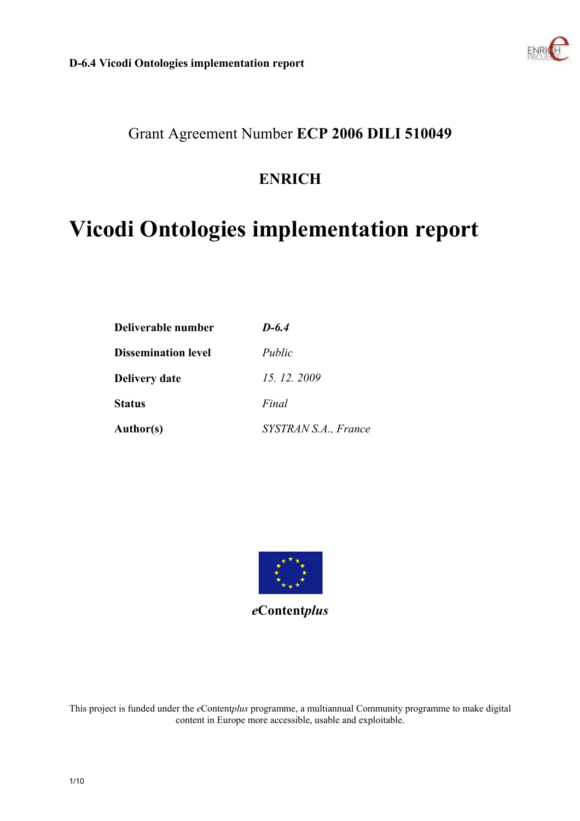

# Grant Agreement Number **ECP 2006 DILI 510049**

# **ENRICH**

# **Vicodi Ontologies implementation report**

| Deliverable number         | $D-6.4$              |  |  |  |  |
|----------------------------|----------------------|--|--|--|--|
| <b>Dissemination level</b> | Public               |  |  |  |  |
| <b>Delivery date</b>       | 15, 12, 2009         |  |  |  |  |
| <b>Status</b>              | Final                |  |  |  |  |
| <b>Author(s)</b>           | SYSTRAN S.A., France |  |  |  |  |



*e***Content***plus* 

This project is funded under the *e*Content*plus* programme, a multiannual Community programme to make digital content in Europe more accessible, usable and exploitable.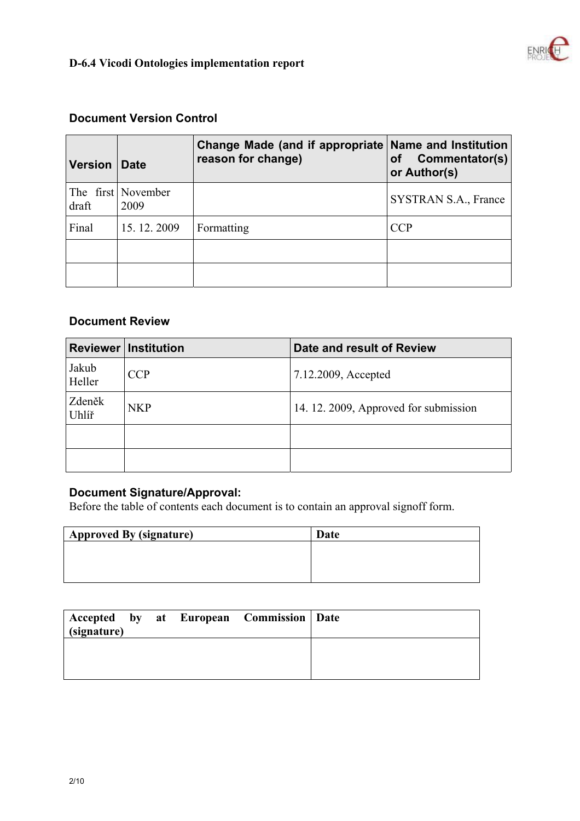

### **Document Version Control**

| <b>Version</b> | <b>Date</b>                | Change Made (and if appropriate Name and Institution<br>reason for change) | Commentator(s)<br>οf<br>or Author(s) |
|----------------|----------------------------|----------------------------------------------------------------------------|--------------------------------------|
| draft          | The first November<br>2009 |                                                                            | SYSTRAN S.A., France                 |
| Final          | 15.12.2009                 | Formatting                                                                 | CCP                                  |
|                |                            |                                                                            |                                      |
|                |                            |                                                                            |                                      |

#### **Document Review**

|                 | <b>Reviewer Institution</b> | Date and result of Review             |  |  |
|-----------------|-----------------------------|---------------------------------------|--|--|
| Jakub<br>Heller | <b>CCP</b>                  | 7.12.2009, Accepted                   |  |  |
| Zdeněk<br>Uhlíř | <b>NKP</b>                  | 14. 12. 2009, Approved for submission |  |  |
|                 |                             |                                       |  |  |
|                 |                             |                                       |  |  |

#### **Document Signature/Approval:**

Before the table of contents each document is to contain an approval signoff form.

| <b>Approved By (signature)</b> | Date |
|--------------------------------|------|
|                                |      |
|                                |      |
|                                |      |

| $\sin(\theta)$ |  | Accepted by at European Commission   Date |  |
|----------------|--|-------------------------------------------|--|
|                |  |                                           |  |
|                |  |                                           |  |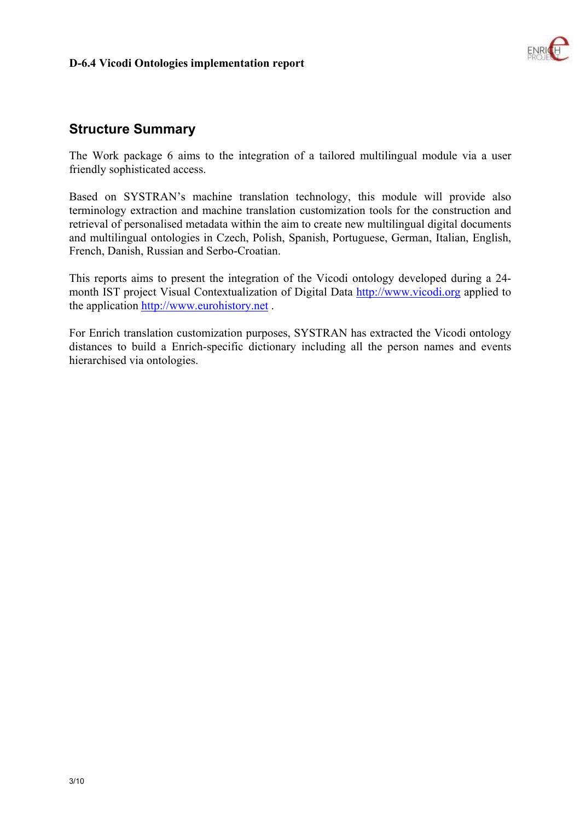

### **Structure Summary**

The Work package 6 aims to the integration of a tailored multilingual module via a user friendly sophisticated access.

Based on SYSTRAN's machine translation technology, this module will provide also terminology extraction and machine translation customization tools for the construction and retrieval of personalised metadata within the aim to create new multilingual digital documents and multilingual ontologies in Czech, Polish, Spanish, Portuguese, German, Italian, English, French, Danish, Russian and Serbo-Croatian.

This reports aims to present the integration of the Vicodi ontology developed during a 24 month IST project Visual Contextualization of Digital Data http://www.vicodi.org applied to the application http://www.eurohistory.net .

For Enrich translation customization purposes, SYSTRAN has extracted the Vicodi ontology distances to build a Enrich-specific dictionary including all the person names and events hierarchised via ontologies.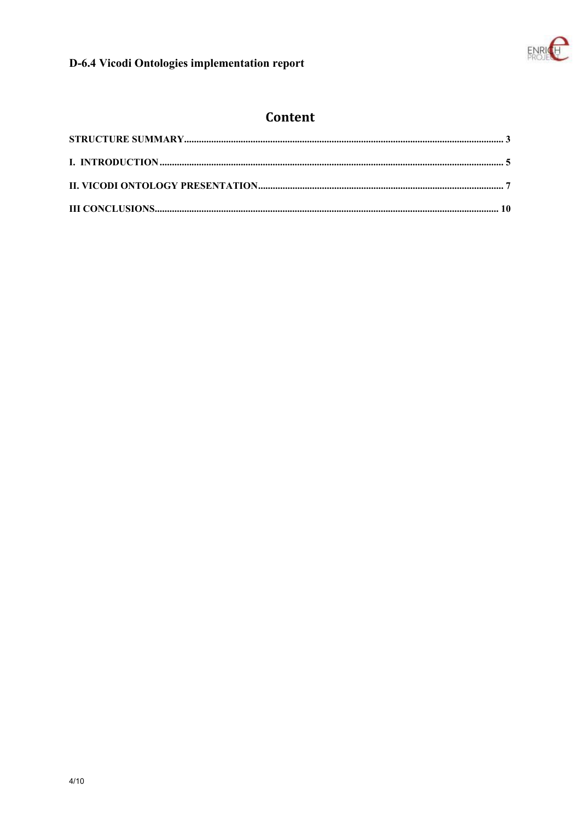

# Content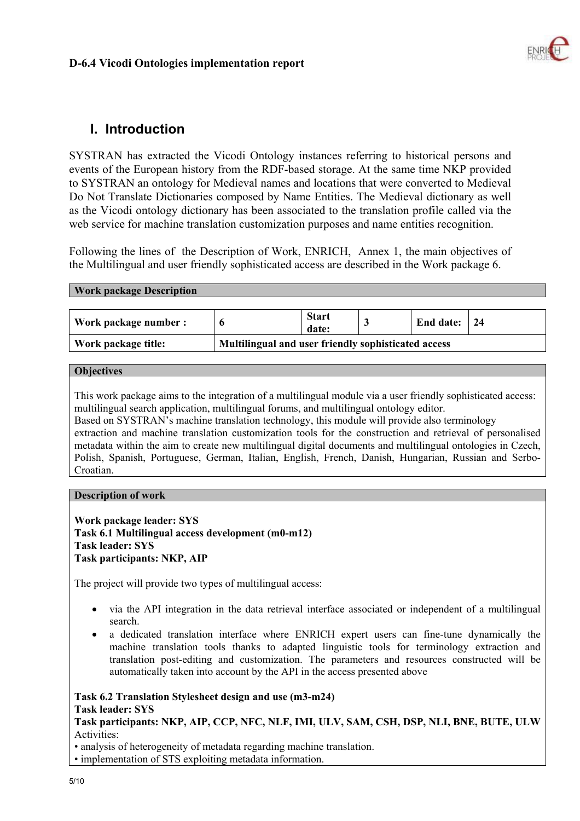

# **I. Introduction**

SYSTRAN has extracted the Vicodi Ontology instances referring to historical persons and events of the European history from the RDF-based storage. At the same time NKP provided to SYSTRAN an ontology for Medieval names and locations that were converted to Medieval Do Not Translate Dictionaries composed by Name Entities. The Medieval dictionary as well as the Vicodi ontology dictionary has been associated to the translation profile called via the web service for machine translation customization purposes and name entities recognition.

Following the lines of the Description of Work, ENRICH, Annex 1, the main objectives of the Multilingual and user friendly sophisticated access are described in the Work package 6.

#### **Work package Description**

| Work package number : |                                                     | <b>Start</b><br>date: | End date: 24 |  |
|-----------------------|-----------------------------------------------------|-----------------------|--------------|--|
| Work package title:   | Multilingual and user friendly sophisticated access |                       |              |  |

#### **Objectives**

This work package aims to the integration of a multilingual module via a user friendly sophisticated access: multilingual search application, multilingual forums, and multilingual ontology editor. Based on SYSTRAN's machine translation technology, this module will provide also terminology extraction and machine translation customization tools for the construction and retrieval of personalised metadata within the aim to create new multilingual digital documents and multilingual ontologies in Czech, Polish, Spanish, Portuguese, German, Italian, English, French, Danish, Hungarian, Russian and Serbo-

Croatian.

#### **Description of work**

**Work package leader: SYS Task 6.1 Multilingual access development (m0-m12) Task leader: SYS Task participants: NKP, AIP** 

The project will provide two types of multilingual access:

- via the API integration in the data retrieval interface associated or independent of a multilingual search.
- a dedicated translation interface where ENRICH expert users can fine-tune dynamically the machine translation tools thanks to adapted linguistic tools for terminology extraction and translation post-editing and customization. The parameters and resources constructed will be automatically taken into account by the API in the access presented above

#### **Task 6.2 Translation Stylesheet design and use (m3-m24) Task leader: SYS**

**Task participants: NKP, AIP, CCP, NFC, NLF, IMI, ULV, SAM, CSH, DSP, NLI, BNE, BUTE, ULW** Activities:

• analysis of heterogeneity of metadata regarding machine translation.

• implementation of STS exploiting metadata information.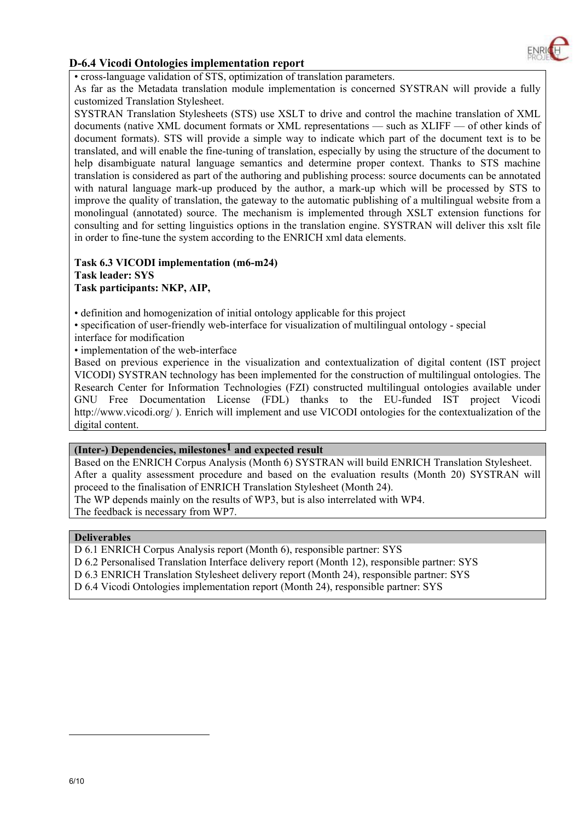

• cross-language validation of STS, optimization of translation parameters.

As far as the Metadata translation module implementation is concerned SYSTRAN will provide a fully customized Translation Stylesheet.

SYSTRAN Translation Stylesheets (STS) use XSLT to drive and control the machine translation of XML documents (native XML document formats or XML representations — such as XLIFF — of other kinds of document formats). STS will provide a simple way to indicate which part of the document text is to be translated, and will enable the fine-tuning of translation, especially by using the structure of the document to help disambiguate natural language semantics and determine proper context. Thanks to STS machine translation is considered as part of the authoring and publishing process: source documents can be annotated with natural language mark-up produced by the author, a mark-up which will be processed by STS to improve the quality of translation, the gateway to the automatic publishing of a multilingual website from a monolingual (annotated) source. The mechanism is implemented through XSLT extension functions for consulting and for setting linguistics options in the translation engine. SYSTRAN will deliver this xslt file in order to fine-tune the system according to the ENRICH xml data elements.

#### **Task 6.3 VICODI implementation (m6-m24) Task leader: SYS Task participants: NKP, AIP,**

• definition and homogenization of initial ontology applicable for this project

• specification of user-friendly web-interface for visualization of multilingual ontology - special

interface for modification

• implementation of the web-interface

Based on previous experience in the visualization and contextualization of digital content (IST project VICODI) SYSTRAN technology has been implemented for the construction of multilingual ontologies. The Research Center for Information Technologies (FZI) constructed multilingual ontologies available under GNU Free Documentation License (FDL) thanks to the EU-funded IST project Vicodi http://www.vicodi.org/ ). Enrich will implement and use VICODI ontologies for the contextualization of the digital content.

#### **(Inter-) Dependencies, milestones1 and expected result**

Based on the ENRICH Corpus Analysis (Month 6) SYSTRAN will build ENRICH Translation Stylesheet. After a quality assessment procedure and based on the evaluation results (Month 20) SYSTRAN will proceed to the finalisation of ENRICH Translation Stylesheet (Month 24). The WP depends mainly on the results of WP3, but is also interrelated with WP4.

The feedback is necessary from WP7.

#### **Deliverables**

D 6.1 ENRICH Corpus Analysis report (Month 6), responsible partner: SYS

D 6.2 Personalised Translation Interface delivery report (Month 12), responsible partner: SYS

D 6.3 ENRICH Translation Stylesheet delivery report (Month 24), responsible partner: SYS

D 6.4 Vicodi Ontologies implementation report (Month 24), responsible partner: SYS

 $\overline{a}$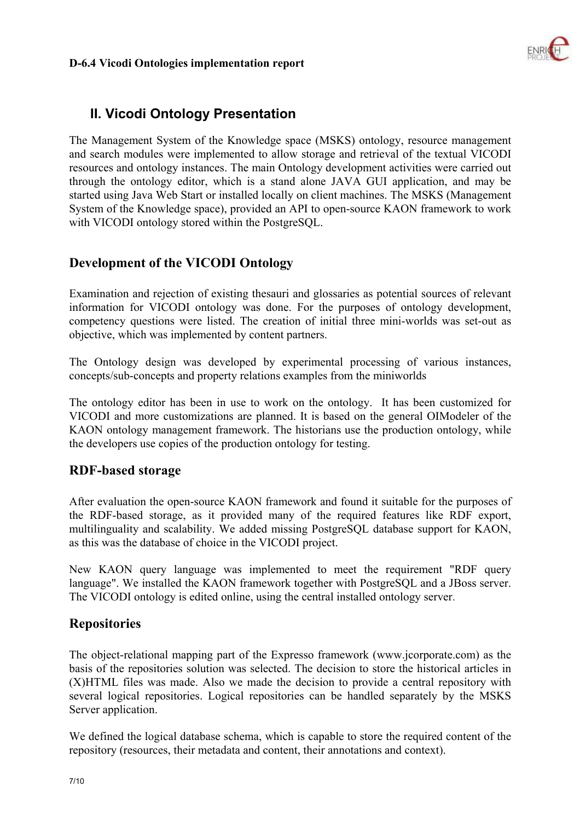

# **II. Vicodi Ontology Presentation**

The Management System of the Knowledge space (MSKS) ontology, resource management and search modules were implemented to allow storage and retrieval of the textual VICODI resources and ontology instances. The main Ontology development activities were carried out through the ontology editor, which is a stand alone JAVA GUI application, and may be started using Java Web Start or installed locally on client machines. The MSKS (Management System of the Knowledge space), provided an API to open-source KAON framework to work with VICODI ontology stored within the PostgreSQL.

# **Development of the VICODI Ontology**

Examination and rejection of existing thesauri and glossaries as potential sources of relevant information for VICODI ontology was done. For the purposes of ontology development, competency questions were listed. The creation of initial three mini-worlds was set-out as objective, which was implemented by content partners.

The Ontology design was developed by experimental processing of various instances, concepts/sub-concepts and property relations examples from the miniworlds

The ontology editor has been in use to work on the ontology. It has been customized for VICODI and more customizations are planned. It is based on the general OIModeler of the KAON ontology management framework. The historians use the production ontology, while the developers use copies of the production ontology for testing.

# **RDF-based storage**

After evaluation the open-source KAON framework and found it suitable for the purposes of the RDF-based storage, as it provided many of the required features like RDF export, multilinguality and scalability. We added missing PostgreSQL database support for KAON, as this was the database of choice in the VICODI project.

New KAON query language was implemented to meet the requirement "RDF query language". We installed the KAON framework together with PostgreSQL and a JBoss server. The VICODI ontology is edited online, using the central installed ontology server.

# **Repositories**

The object-relational mapping part of the Expresso framework (www.jcorporate.com) as the basis of the repositories solution was selected. The decision to store the historical articles in (X)HTML files was made. Also we made the decision to provide a central repository with several logical repositories. Logical repositories can be handled separately by the MSKS Server application.

We defined the logical database schema, which is capable to store the required content of the repository (resources, their metadata and content, their annotations and context).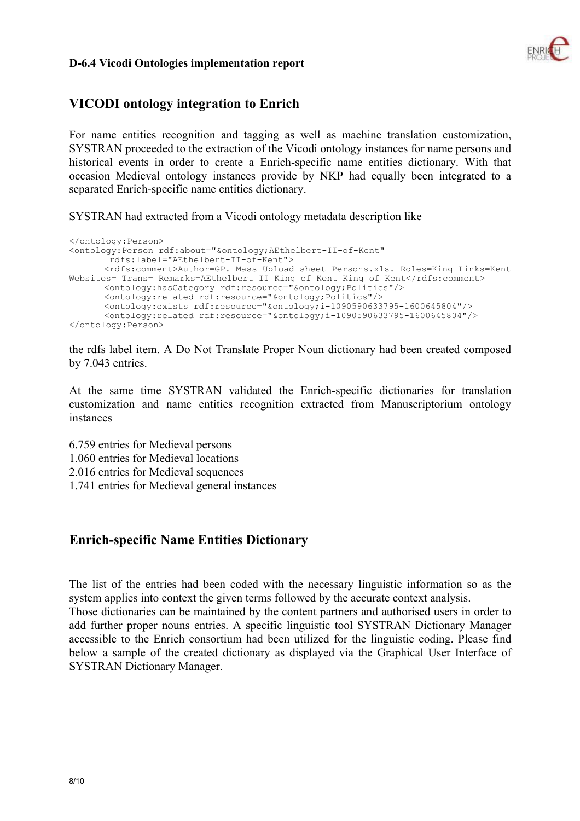

# **VICODI ontology integration to Enrich**

For name entities recognition and tagging as well as machine translation customization, SYSTRAN proceeded to the extraction of the Vicodi ontology instances for name persons and historical events in order to create a Enrich-specific name entities dictionary. With that occasion Medieval ontology instances provide by NKP had equally been integrated to a separated Enrich-specific name entities dictionary.

SYSTRAN had extracted from a Vicodi ontology metadata description like

```
</ontology:Person> 
<ontology:Person rdf:about="&ontology;AEthelbert-II-of-Kent" 
        rdfs:label="AEthelbert-II-of-Kent"> 
        <rdfs:comment>Author=GP. Mass Upload sheet Persons.xls. Roles=King Links=Kent 
Websites= Trans= Remarks=AEthelbert II King of Kent King of Kent</rdfs:comment>
        <ontology:hasCategory rdf:resource="&ontology;Politics"/> 
        <ontology:related rdf:resource="&ontology;Politics"/> 
       \langleontology:exists rdf:resource="&ontology;i-1090590633795-1600645804"/>
       \langleontology:related rdf:resource="&ontology;i-1090590633795-1600645804"/>
</ontology:Person>
```
the rdfs label item. A Do Not Translate Proper Noun dictionary had been created composed by 7.043 entries.

At the same time SYSTRAN validated the Enrich-specific dictionaries for translation customization and name entities recognition extracted from Manuscriptorium ontology instances

6.759 entries for Medieval persons 1.060 entries for Medieval locations 2.016 entries for Medieval sequences 1.741 entries for Medieval general instances

# **Enrich-specific Name Entities Dictionary**

The list of the entries had been coded with the necessary linguistic information so as the system applies into context the given terms followed by the accurate context analysis. Those dictionaries can be maintained by the content partners and authorised users in order to add further proper nouns entries. A specific linguistic tool SYSTRAN Dictionary Manager accessible to the Enrich consortium had been utilized for the linguistic coding. Please find below a sample of the created dictionary as displayed via the Graphical User Interface of SYSTRAN Dictionary Manager.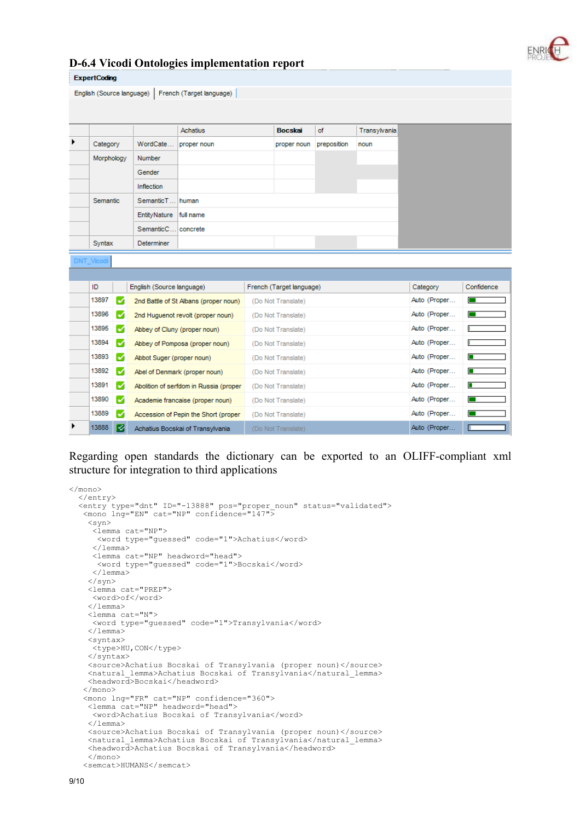

|   | <b>ExpertCoding</b>                                   |   |                           |                                        |  |                          |             |              |              |                  |
|---|-------------------------------------------------------|---|---------------------------|----------------------------------------|--|--------------------------|-------------|--------------|--------------|------------------|
|   | English (Source language)<br>French (Target language) |   |                           |                                        |  |                          |             |              |              |                  |
|   |                                                       |   |                           |                                        |  |                          |             |              |              |                  |
|   |                                                       |   |                           |                                        |  |                          |             |              |              |                  |
| ▶ |                                                       |   |                           | Achatius                               |  | <b>Bocskai</b>           | of          | Transylvania |              |                  |
|   | Category                                              |   | WordCate                  | proper noun                            |  | proper noun              | preposition | noun         |              |                  |
|   | Morphology                                            |   | <b>Number</b>             |                                        |  |                          |             |              |              |                  |
|   |                                                       |   | Gender                    |                                        |  |                          |             |              |              |                  |
|   |                                                       |   | Inflection                |                                        |  |                          |             |              |              |                  |
|   | Semantic                                              |   | SemanticT                 | human                                  |  |                          |             |              |              |                  |
|   |                                                       |   | <b>EntityNature</b>       | full name                              |  |                          |             |              |              |                  |
|   |                                                       |   | SemanticC                 | concrete                               |  |                          |             |              |              |                  |
|   | Syntax                                                |   | <b>Determiner</b>         |                                        |  |                          |             |              |              |                  |
|   | <b>DNT</b> Vicodi                                     |   |                           |                                        |  |                          |             |              |              |                  |
|   |                                                       |   |                           |                                        |  |                          |             |              |              |                  |
|   | ID                                                    |   | English (Source language) |                                        |  | French (Target language) |             |              | Category     | Confidence       |
|   | 13897                                                 | M |                           | 2nd Battle of St Albans (proper noun)  |  | (Do Not Translate)       |             |              | Auto (Proper | <b>The State</b> |
|   | 13896                                                 | M |                           | 2nd Huguenot revolt (proper noun)      |  | (Do Not Translate)       |             |              | Auto (Proper |                  |
|   | 13895                                                 | M |                           | Abbey of Cluny (proper noun)           |  | (Do Not Translate)       |             |              | Auto (Proper |                  |
|   | 13894                                                 | M |                           | Abbey of Pomposa (proper noun)         |  | (Do Not Translate)       |             |              | Auto (Proper |                  |
|   | 13893                                                 | M | Abbot Suger (proper noun) |                                        |  | (Do Not Translate)       |             |              | Auto (Proper | П                |
|   | 13892                                                 | M |                           | Abel of Denmark (proper noun)          |  | (Do Not Translate)       |             |              | Auto (Proper |                  |
|   | 13891                                                 | M |                           | Abolition of serfdom in Russia (proper |  | (Do Not Translate)       |             |              | Auto (Proper |                  |
|   | 13890                                                 | M |                           | Academie francaise (proper noun)       |  | (Do Not Translate)       |             |              | Auto (Proper |                  |
|   | 13889                                                 | M |                           | Accession of Pepin the Short (proper   |  | (Do Not Translate)       |             |              | Auto (Proper |                  |
|   | 13888                                                 | Ø |                           | Achatius Bocskai of Transylvania       |  | (Do Not Translate)       |             |              | Auto (Proper |                  |

Regarding open standards the dictionary can be exported to an OLIFF-compliant xml structure for integration to third applications

```
\langle/mono>
   </entry> 
  <entry type="dnt" ID="-13888" pos="proper noun" status="validated">
    <mono lng="EN" cat="NP" confidence="147"> 
     <syn> 
      <lemma cat="NP"> 
       <word type="guessed" code="1">Achatius</word> 
      </lemma> 
      <lemma cat="NP" headword="head"> 
       <word type="guessed" code="1">Bocskai</word> 
      </lemma> 
     </syn> 
     <lemma cat="PREP"> 
      <word>of</word> 
     </lemma> 
     <lemma cat="N"> 
      <word type="guessed" code="1">Transylvania</word> 
     </lemma> 
     <syntax> 
      <type>HU,CON</type> 
     </syntax> 
     <source>Achatius Bocskai of Transylvania (proper noun)</source> 
     <natural_lemma>Achatius Bocskai of Transylvania</natural_lemma> 
     <headword>Bocskai</headword> 
    </mono> 
    <mono lng="FR" cat="NP" confidence="360"> 
     <lemma cat="NP" headword="head"> 
      <word>Achatius Bocskai of Transylvania</word> 
     </lemma> 
     <source>Achatius Bocskai of Transylvania (proper noun)</source> 
     <natural_lemma>Achatius Bocskai of Transylvania</natural_lemma> 
     <headword>Achatius Bocskai of Transylvania</headword> 
     </mono> 
    <semcat>HUMANS</semcat>
```